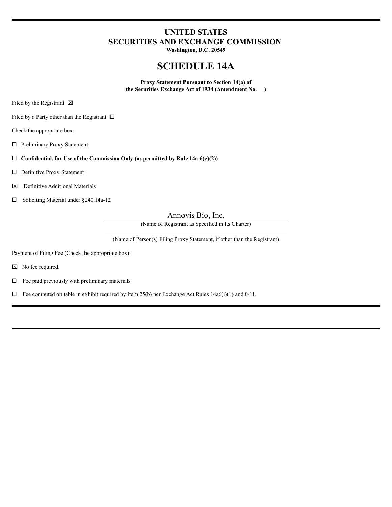## **UNITED STATES SECURITIES AND EXCHANGE COMMISSION**

**Washington, D.C. 20549**

# **SCHEDULE 14A**

**Proxy Statement Pursuant to Section 14(a) of the Securities Exchange Act of 1934 (Amendment No. )**

Filed by the Registrant  $\boxtimes$ 

Filed by a Party other than the Registrant  $\Box$ 

Check the appropriate box:

 $\square$  Preliminary Proxy Statement

¨ **Confidential, for Use of the Commission Only (as permitted by Rule 14a-6(e)(2))**

□ Definitive Proxy Statement

x Definitive Additional Materials

 $\Box$  Soliciting Material under §240.14a-12

Annovis Bio, Inc.

(Name of Registrant as Specified in Its Charter)

(Name of Person(s) Filing Proxy Statement, if other than the Registrant)

Payment of Filing Fee (Check the appropriate box):

 $\boxtimes$  No fee required.

 $\Box$  Fee paid previously with preliminary materials.

 $\Box$  Fee computed on table in exhibit required by Item 25(b) per Exchange Act Rules 14a6(i)(1) and 0-11.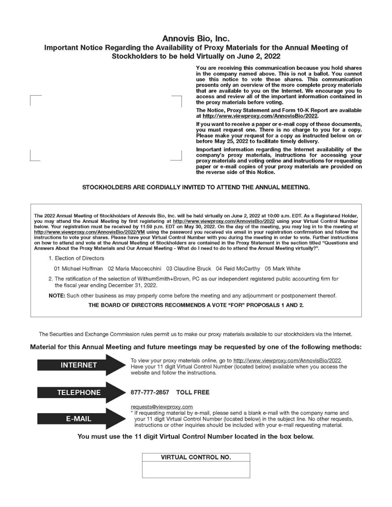## Annovis Bio, Inc. Important Notice Regarding the Availability of Proxy Materials for the Annual Meeting of Stockholders to be held Virtually on June 2, 2022

You are receiving this communication because you hold shares in the company named above. This is not a ballot. You cannot use this notice to vote these shares. This communication presents only an overview of the more complete proxy materials that are available to you on the Internet. We encourage you to access and review all of the important information contained in the proxy materials before voting.

The Notice, Proxy Statement and Form 10-K Report are available at http://www.viewproxy.com/AnnovisBio/2022.

If you want to receive a paper or e-mail copy of these documents, you must request one. There is no charge to you for a copy. Please make your request for a copy as instructed below on or<br>before May 25, 2022 to facilitate timely delivery.

Important information regarding the Internet availability of the company's proxy materials, instructions for accessing your proxy materials and voting online and instructions for requesting paper or e-mail copies of your proxy materials are provided on the reverse side of this Notice.

### STOCKHOLDERS ARE CORDIALLY INVITED TO ATTEND THE ANNUAL MEETING.

The 2022 Annual Meeting of Stockholders of Annovis Bio, Inc. will be held virtually on June 2, 2022 at 10:00 a.m. EDT. As a Registered Holder, you may attend the Annual Meeting by first registering at http://www.viewproxy.com/AnnovisBio/2022 using your Virtual Control Number below. Your registration must be received by 11:59 p.m. EDT on May 30, 2022. On the day of the meeting, you may log in to the meeting at http://www.viewproxy.com/AnnovisBio/2022/VM using the password you received via email in your registration confirmation and follow the instructions to vote your shares. Please have your Virtual Control Number with you during the meeting in order to vote. Further instructions on how to attend and vote at the Annual Meeting of Stockholders are contained in the Proxy Statement in the section titled "Questions and Answers About the Proxy Materials and Our Annual Meeting - What do I need to do to attend the Annual Meeting virtually?".

1. Election of Directors

01 Michael Hoffman 02 Maria Maccecchini 03 Claudine Bruck 04 Reid McCarthy 05 Mark White

2. The ratification of the selection of WithumSmith+Brown, PC as our independent registered public accounting firm for the fiscal year ending December 31, 2022.

NOTE: Such other business as may properly come before the meeting and any adjoumment or postponement thereof.

#### THE BOARD OF DIRECTORS RECOMMENDS A VOTE "FOR" PROPOSALS 1 AND 2.

The Securities and Exchange Commission rules permit us to make our proxy materials available to our stockholders via the Internet.

### Material for this Annual Meeting and future meetings may be requested by one of the following methods:



To view your proxy materials online, go to http://www.viewproxy.com/AnnovisBio/2022. Have your 11 digit Virtual Control Number (located below) available when you access the website and follow the instructions.

877-777-2857 TOLL FREE

requests@viewproxy.com

If requesting material by e-mail, please send a blank e-mail with the company name and your 11 digit Virtual Control Number (located below) in the subject line. No other requests, instructions or other inquiries should be included with your e-mail requesting material.

You must use the 11 digit Virtual Control Number located in the box below.

VIRTUAL CONTROL NO.